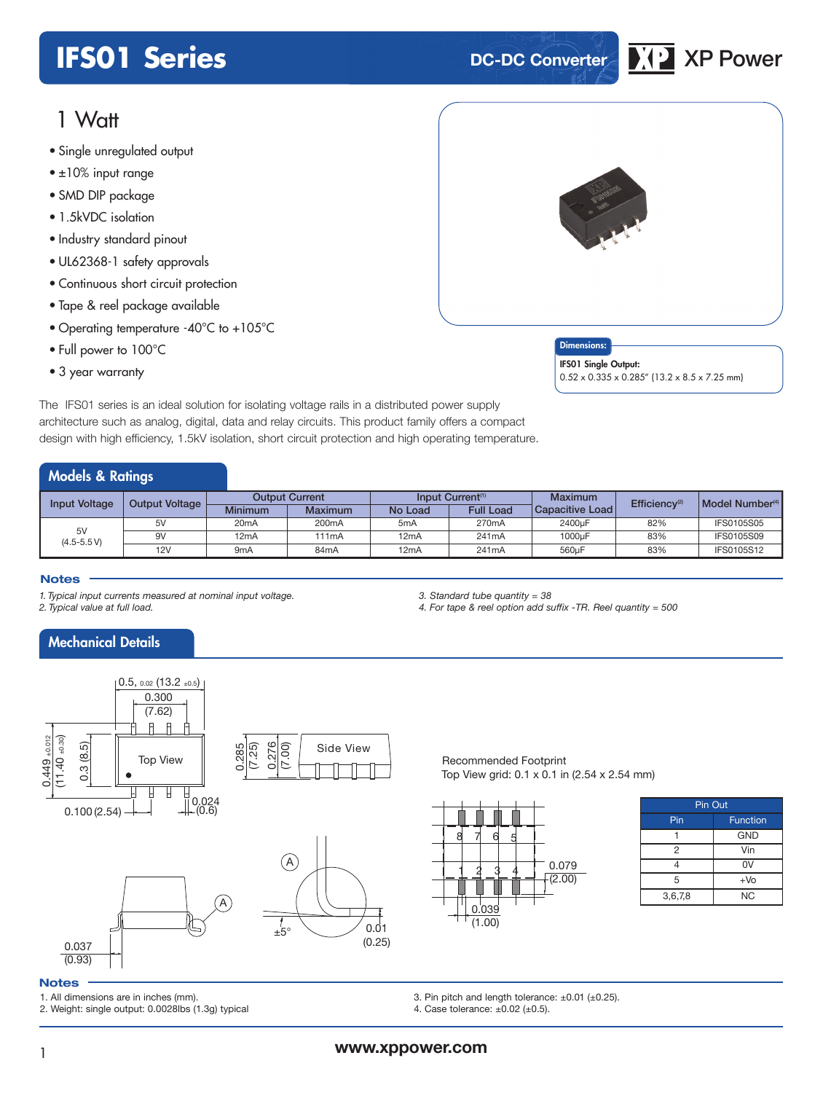# **IFS01 Series DC-DC Converter XP** XP Power

## 1 Watt

- Single unregulated output
- single unregula<del>led ourpur</del><br>• ±10% input range
- SMD DIP package
- 1.5kVDC isolation
- Industry standard pinout
- UL62368-1 safety approvals
- Continuous short circuit protection
- Tape & reel package available
- Operating temperature -40°C to +105°C
- Full power to 100°C
- 3 year warranty



### Dimensions:

IFS01 Single Output: 0.52 x 0.335 x 0.285" (13.2 x 8.5 x 7.25 mm)

The IFS01 series is an ideal solution for isolating voltage rails in a distributed power supply architecture such as analog, digital, data and relay circuits. This product family offers a compact design with high efficiency, 1.5kV isolation, short circuit protection and high operating temperature.

## Models & Ratings

| Input Voltage       | <b>Output Voltage</b> | <b>Output Current</b> |                    | Input Current <sup>(1)</sup> |                    | <b>Maximum</b>  | Efficiency <sup>(2)</sup> | Model Number <sup>(4)</sup> |
|---------------------|-----------------------|-----------------------|--------------------|------------------------------|--------------------|-----------------|---------------------------|-----------------------------|
|                     |                       | <b>Minimum</b>        | Maximum            | No Load                      | <b>Full Load</b>   | Capacitive Load |                           |                             |
| 5V<br>$(4.5 - 5.5)$ | 5V                    | 20 <sub>m</sub> A     | 200 <sub>m</sub> A | 5 <sub>m</sub> A             | 270 <sub>m</sub> A | 2400uF          | 82%                       | <b>IFS0105S05</b>           |
|                     | 9V                    | 12mA                  | 111 <sub>mA</sub>  | 12mA                         | 241mA              | 1000uF          | 83%                       | <b>IFS0105S09</b>           |
|                     | 12V                   | 9 <sub>m</sub> A      | 84 <sub>m</sub> A  | 12mA                         | 241mA              | 560uF           | 83%                       | IFS0105S12                  |

#### **Notes**

*1. Typical input currents measured at nominal input voltage.*

*2. Typical value at full load.*

## Mechanical Details



*3. Standard tube quantity = 38*

Recommended Footprint Top View grid: 0.1 x 0.1 in (2.54 x 2.54 mm)

*4. For tape & reel option add suffix -TR. Reel quantity = 500*



| Pin Out |                 |  |  |  |  |  |
|---------|-----------------|--|--|--|--|--|
| Pin     | <b>Function</b> |  |  |  |  |  |
|         | <b>GND</b>      |  |  |  |  |  |
| 2       | Vin             |  |  |  |  |  |
|         | 0V              |  |  |  |  |  |
| 5       | $+VO$           |  |  |  |  |  |
| 3,6,7,8 | <b>NC</b>       |  |  |  |  |  |

#### **Notes**

1. All dimensions are in inches (mm).

2. Weight: single output: 0.0028lbs (1.3g) typical

3. Pin pitch and length tolerance: ±0.01 (±0.25).

4. Case tolerance: ±0.02 (±0.5).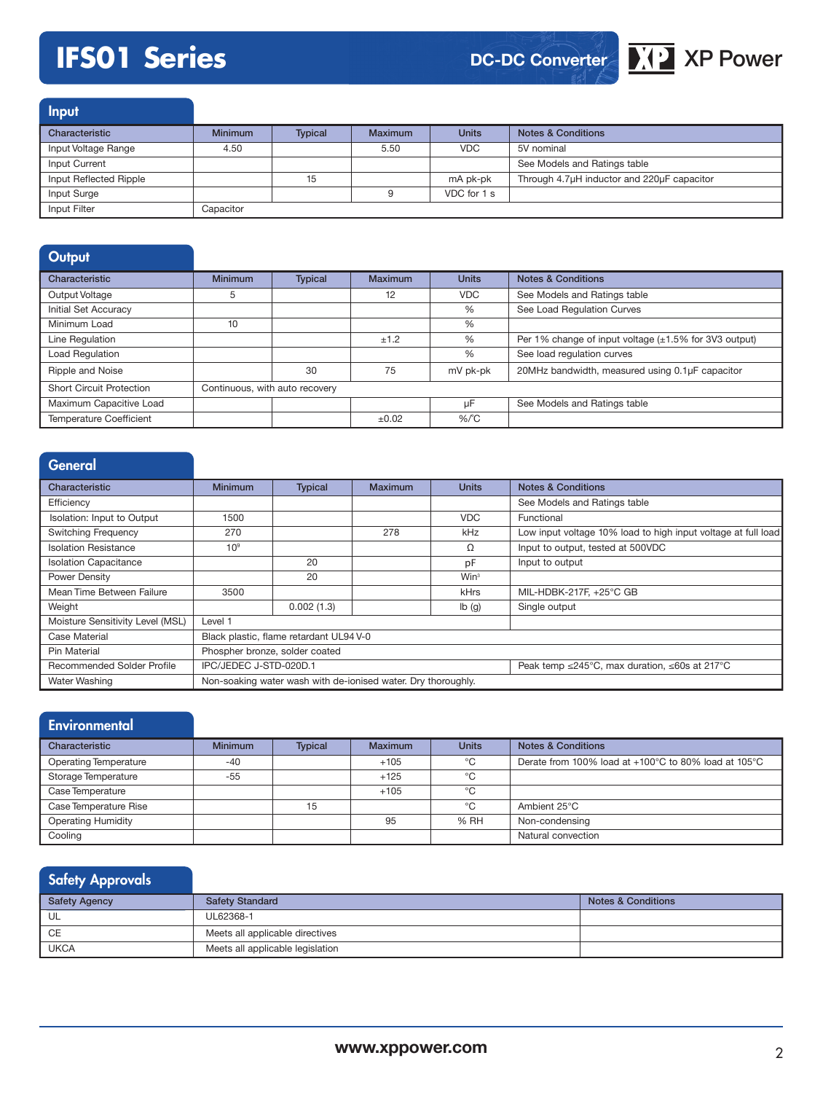# **IFS01 Series XP ACCONVERGING MESSING DC-DC Converter**

## **DC-DC Converter**

**Input** 

| Characteristic         | <b>Minimum</b> | <b>Typical</b> | Maximum | <b>Units</b> | <b>Notes &amp; Conditions</b>              |
|------------------------|----------------|----------------|---------|--------------|--------------------------------------------|
| Input Voltage Range    | 4.50           |                | 5.50    | <b>VDC</b>   | 5V nominal                                 |
| Input Current          |                |                |         |              | See Models and Ratings table               |
| Input Reflected Ripple |                | 15             |         | mA pk-pk     | Through 4.7µH inductor and 220µF capacitor |
| Input Surge            |                |                |         | VDC for 1 s  |                                            |
| Input Filter           | Capacitor      |                |         |              |                                            |

| Output                          |                                |                |                |              |                                                             |
|---------------------------------|--------------------------------|----------------|----------------|--------------|-------------------------------------------------------------|
| Characteristic                  | Minimum                        | <b>Typical</b> | <b>Maximum</b> | <b>Units</b> | <b>Notes &amp; Conditions</b>                               |
| Output Voltage                  | 5                              |                | 12             | <b>VDC</b>   | See Models and Ratings table                                |
| Initial Set Accuracy            |                                |                |                | %            | See Load Regulation Curves                                  |
| Minimum Load                    | 10                             |                |                | %            |                                                             |
| Line Regulation                 |                                |                | ±1.2           | %            | Per 1% change of input voltage $(\pm 1.5\%$ for 3V3 output) |
| Load Regulation                 |                                |                |                | %            | See load regulation curves                                  |
| Ripple and Noise                |                                | 30             | 75             | mV pk-pk     | 20MHz bandwidth, measured using 0.1µF capacitor             |
| <b>Short Circuit Protection</b> | Continuous, with auto recovery |                |                |              |                                                             |
| Maximum Capacitive Load         |                                |                |                | uF           | See Models and Ratings table                                |
| Temperature Coefficient         |                                |                | ±0.02          | $%$ $C$      |                                                             |

| General                          |                                                                         |                                                               |                |                           |                                                               |  |  |  |
|----------------------------------|-------------------------------------------------------------------------|---------------------------------------------------------------|----------------|---------------------------|---------------------------------------------------------------|--|--|--|
| Characteristic                   | <b>Minimum</b>                                                          | <b>Typical</b>                                                | <b>Maximum</b> | <b>Units</b>              | <b>Notes &amp; Conditions</b>                                 |  |  |  |
| Efficiency                       |                                                                         |                                                               |                |                           | See Models and Ratings table                                  |  |  |  |
| Isolation: Input to Output       | 1500                                                                    |                                                               |                | <b>VDC</b>                | Functional                                                    |  |  |  |
| <b>Switching Frequency</b>       | 270                                                                     |                                                               | 278            | kHz                       | Low input voltage 10% load to high input voltage at full load |  |  |  |
| <b>Isolation Resistance</b>      | 10 <sup>9</sup>                                                         |                                                               |                | Ω                         | Input to output, tested at 500VDC                             |  |  |  |
| <b>Isolation Capacitance</b>     |                                                                         | 20                                                            |                | pF                        | Input to output                                               |  |  |  |
| Power Density                    |                                                                         | 20                                                            |                | Win <sup>3</sup>          |                                                               |  |  |  |
| Mean Time Between Failure        | 3500                                                                    |                                                               |                | <b>kHrs</b>               | MIL-HDBK-217F, +25°C GB                                       |  |  |  |
| Weight                           |                                                                         | 0.002(1.3)                                                    |                | $\mathsf{lb}(\mathsf{g})$ | Single output                                                 |  |  |  |
| Moisture Sensitivity Level (MSL) | Level 1                                                                 |                                                               |                |                           |                                                               |  |  |  |
| Case Material                    |                                                                         | Black plastic, flame retardant UL94 V-0                       |                |                           |                                                               |  |  |  |
| Pin Material                     | Phospher bronze, solder coated                                          |                                                               |                |                           |                                                               |  |  |  |
| Recommended Solder Profile       | IPC/JEDEC J-STD-020D.1<br>Peak temp ≤245°C, max duration, ≤60s at 217°C |                                                               |                |                           |                                                               |  |  |  |
| Water Washing                    |                                                                         | Non-soaking water wash with de-ionised water. Dry thoroughly. |                |                           |                                                               |  |  |  |

| <b>Environmental</b>         |                |                |                |              |                                                      |
|------------------------------|----------------|----------------|----------------|--------------|------------------------------------------------------|
| Characteristic               | <b>Minimum</b> | <b>Typical</b> | <b>Maximum</b> | <b>Units</b> | <b>Notes &amp; Conditions</b>                        |
| <b>Operating Temperature</b> | $-40$          |                | $+105$         | °C           | Derate from 100% load at +100°C to 80% load at 105°C |
| Storage Temperature          | $-55$          |                | $+125$         | °C           |                                                      |
| Case Temperature             |                |                | $+105$         | °C           |                                                      |
| Case Temperature Rise        |                | 15             |                | °C           | Ambient 25°C                                         |
| <b>Operating Humidity</b>    |                |                | 95             | % RH         | Non-condensing                                       |
| Cooling                      |                |                |                |              | Natural convection                                   |

## Safety Approvals

| Safety Agency | <b>Safety Standard</b>           | <b>Notes &amp; Conditions</b> |
|---------------|----------------------------------|-------------------------------|
| UL            | UL62368-1                        |                               |
| CE            | Meets all applicable directives  |                               |
| <b>UKCA</b>   | Meets all applicable legislation |                               |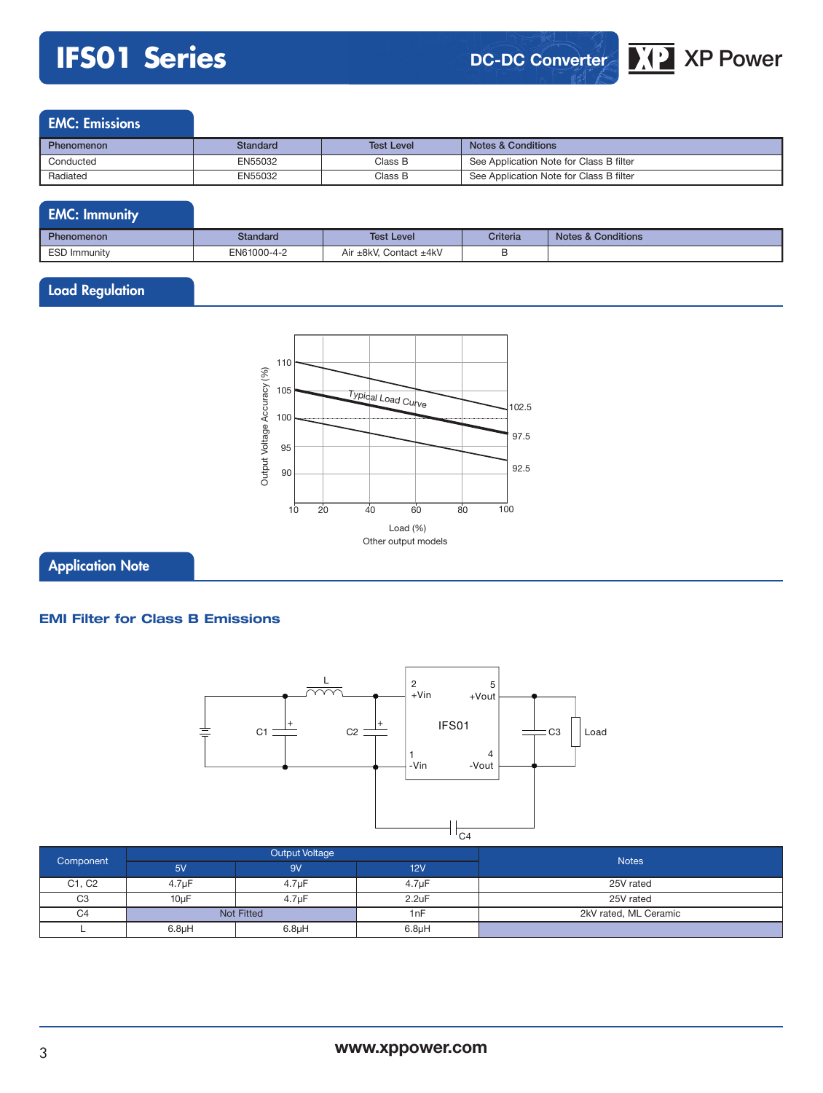# **IFS01 Series DC-DC Converter XP** XP Power

## EMC: Emissions

| <b>Phenomenon</b> | Standard | <b>Test Level</b> | <b>Notes &amp; Conditions</b>           |
|-------------------|----------|-------------------|-----------------------------------------|
| Conducted         | EN55032  | Class B           | See Application Note for Class B filter |
| Radiated          | EN55032  | Class B           | See Application Note for Class B filter |

| <b>EMC: Immunity</b> |             |                        |          |                               |
|----------------------|-------------|------------------------|----------|-------------------------------|
| <b>Phenomenon</b>    | Standard    | <b>Test Level</b>      | Criteria | <b>Notes &amp; Conditions</b> |
| ESD Immunity         | EN61000-4-2 | Air ±8kV. Contact ±4kV |          |                               |

## Load Regulation



Application Note

### **EMI Filter for Class B Emissions**



| Component      |                    | Output Voltage     |                    | <b>Notes</b>          |
|----------------|--------------------|--------------------|--------------------|-----------------------|
|                | 5V                 | 9V                 | 12V                |                       |
| C1, C2         | 4.7 <sub>µ</sub> F | 4.7 <sub>µ</sub> F | 4.7 <sub>µ</sub> F | 25V rated             |
| C <sub>3</sub> | $10\mu F$          | 4.7uF              | 2.2uF              | 25V rated             |
| C <sub>4</sub> |                    | <b>Not Fitted</b>  | 1nF                | 2kV rated. ML Ceramic |
|                | 6.8 <sub>µ</sub> H | 6.8 <sub>µ</sub> H | 6.8 <sub>µ</sub> H |                       |